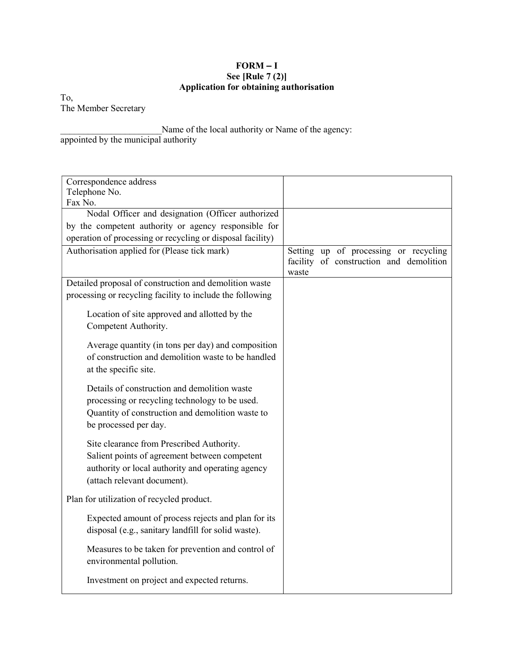## $FORM - I$ See [Rule 7 (2)] Application for obtaining authorisation

To, The Member Secretary

Name of the local authority or Name of the agency: appointed by the municipal authority

| Correspondence address<br>Telephone No.                                                                                                                                        |                                                                                           |
|--------------------------------------------------------------------------------------------------------------------------------------------------------------------------------|-------------------------------------------------------------------------------------------|
| Fax No.                                                                                                                                                                        |                                                                                           |
| Nodal Officer and designation (Officer authorized                                                                                                                              |                                                                                           |
| by the competent authority or agency responsible for                                                                                                                           |                                                                                           |
| operation of processing or recycling or disposal facility)                                                                                                                     |                                                                                           |
| Authorisation applied for (Please tick mark)                                                                                                                                   | Setting up of processing or recycling<br>facility of construction and demolition<br>waste |
| Detailed proposal of construction and demolition waste                                                                                                                         |                                                                                           |
| processing or recycling facility to include the following                                                                                                                      |                                                                                           |
| Location of site approved and allotted by the<br>Competent Authority.                                                                                                          |                                                                                           |
| Average quantity (in tons per day) and composition<br>of construction and demolition waste to be handled<br>at the specific site.                                              |                                                                                           |
| Details of construction and demolition waste<br>processing or recycling technology to be used.<br>Quantity of construction and demolition waste to<br>be processed per day.    |                                                                                           |
| Site clearance from Prescribed Authority.<br>Salient points of agreement between competent<br>authority or local authority and operating agency<br>(attach relevant document). |                                                                                           |
| Plan for utilization of recycled product.                                                                                                                                      |                                                                                           |
| Expected amount of process rejects and plan for its<br>disposal (e.g., sanitary landfill for solid waste).                                                                     |                                                                                           |
| Measures to be taken for prevention and control of<br>environmental pollution.                                                                                                 |                                                                                           |
| Investment on project and expected returns.                                                                                                                                    |                                                                                           |